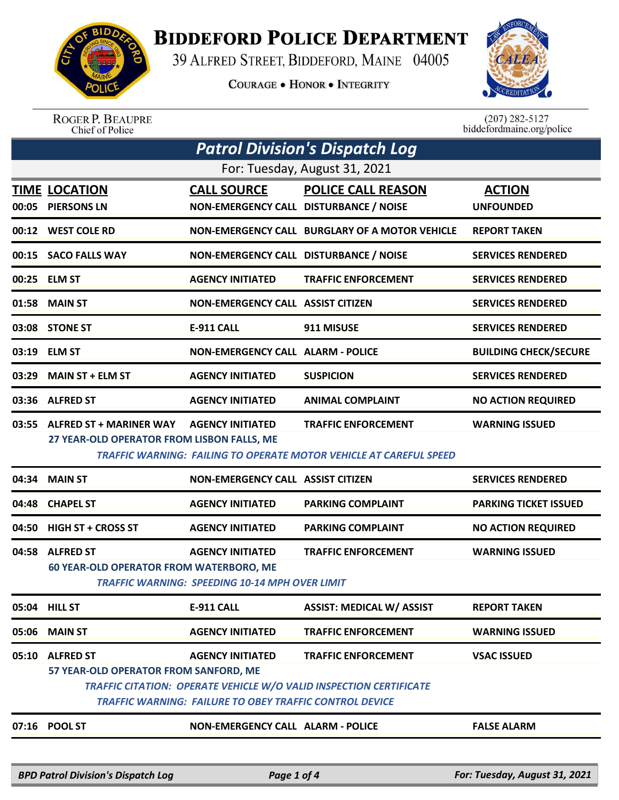

## **BIDDEFORD POLICE DEPARTMENT**

39 ALFRED STREET, BIDDEFORD, MAINE 04005

**COURAGE . HONOR . INTEGRITY** 



ROGER P. BEAUPRE<br>Chief of Police

 $(207)$  282-5127 biddefordmaine.org/police

|                               | <b>Patrol Division's Dispatch Log</b>                                                                                                                                                                                                                                    |                                                              |                                                                           |                                   |  |  |
|-------------------------------|--------------------------------------------------------------------------------------------------------------------------------------------------------------------------------------------------------------------------------------------------------------------------|--------------------------------------------------------------|---------------------------------------------------------------------------|-----------------------------------|--|--|
| For: Tuesday, August 31, 2021 |                                                                                                                                                                                                                                                                          |                                                              |                                                                           |                                   |  |  |
|                               | <b>TIME LOCATION</b><br>00:05 PIERSONS LN                                                                                                                                                                                                                                | <b>CALL SOURCE</b><br>NON-EMERGENCY CALL DISTURBANCE / NOISE | <b>POLICE CALL REASON</b>                                                 | <b>ACTION</b><br><b>UNFOUNDED</b> |  |  |
|                               | 00:12 WEST COLE RD                                                                                                                                                                                                                                                       |                                                              | NON-EMERGENCY CALL BURGLARY OF A MOTOR VEHICLE                            | <b>REPORT TAKEN</b>               |  |  |
|                               | 00:15 SACO FALLS WAY                                                                                                                                                                                                                                                     | NON-EMERGENCY CALL DISTURBANCE / NOISE                       |                                                                           | <b>SERVICES RENDERED</b>          |  |  |
|                               | 00:25 ELM ST                                                                                                                                                                                                                                                             | <b>AGENCY INITIATED</b>                                      | <b>TRAFFIC ENFORCEMENT</b>                                                | <b>SERVICES RENDERED</b>          |  |  |
|                               | 01:58 MAIN ST                                                                                                                                                                                                                                                            | <b>NON-EMERGENCY CALL ASSIST CITIZEN</b>                     |                                                                           | <b>SERVICES RENDERED</b>          |  |  |
|                               | 03:08 STONE ST                                                                                                                                                                                                                                                           | E-911 CALL                                                   | 911 MISUSE                                                                | <b>SERVICES RENDERED</b>          |  |  |
|                               | 03:19 ELM ST                                                                                                                                                                                                                                                             | <b>NON-EMERGENCY CALL ALARM - POLICE</b>                     |                                                                           | <b>BUILDING CHECK/SECURE</b>      |  |  |
| 03:29                         | <b>MAIN ST + ELM ST</b>                                                                                                                                                                                                                                                  | <b>AGENCY INITIATED</b>                                      | <b>SUSPICION</b>                                                          | <b>SERVICES RENDERED</b>          |  |  |
|                               | 03:36 ALFRED ST                                                                                                                                                                                                                                                          | <b>AGENCY INITIATED</b>                                      | <b>ANIMAL COMPLAINT</b>                                                   | <b>NO ACTION REQUIRED</b>         |  |  |
| 03:55                         | ALFRED ST + MARINER WAY                                                                                                                                                                                                                                                  | <b>AGENCY INITIATED</b>                                      | <b>TRAFFIC ENFORCEMENT</b>                                                | <b>WARNING ISSUED</b>             |  |  |
|                               | 27 YEAR-OLD OPERATOR FROM LISBON FALLS, ME                                                                                                                                                                                                                               |                                                              | <b>TRAFFIC WARNING: FAILING TO OPERATE MOTOR VEHICLE AT CAREFUL SPEED</b> |                                   |  |  |
|                               | 04:34 MAIN ST                                                                                                                                                                                                                                                            | <b>NON-EMERGENCY CALL ASSIST CITIZEN</b>                     |                                                                           | <b>SERVICES RENDERED</b>          |  |  |
| 04:48                         | <b>CHAPEL ST</b>                                                                                                                                                                                                                                                         | <b>AGENCY INITIATED</b>                                      | <b>PARKING COMPLAINT</b>                                                  | <b>PARKING TICKET ISSUED</b>      |  |  |
| 04:50                         | <b>HIGH ST + CROSS ST</b>                                                                                                                                                                                                                                                | <b>AGENCY INITIATED</b>                                      | <b>PARKING COMPLAINT</b>                                                  | <b>NO ACTION REQUIRED</b>         |  |  |
| 04:58                         | <b>ALFRED ST</b>                                                                                                                                                                                                                                                         | <b>AGENCY INITIATED</b>                                      | <b>TRAFFIC ENFORCEMENT</b>                                                | <b>WARNING ISSUED</b>             |  |  |
|                               | <b>60 YEAR-OLD OPERATOR FROM WATERBORO, ME</b><br><b>TRAFFIC WARNING: SPEEDING 10-14 MPH OVER LIMIT</b>                                                                                                                                                                  |                                                              |                                                                           |                                   |  |  |
|                               | 05:04 HILL ST                                                                                                                                                                                                                                                            | <b>E-911 CALL</b>                                            | <b>ASSIST: MEDICAL W/ ASSIST</b>                                          | <b>REPORT TAKEN</b>               |  |  |
|                               | 05:06 MAIN ST                                                                                                                                                                                                                                                            | <b>AGENCY INITIATED</b>                                      | <b>TRAFFIC ENFORCEMENT</b>                                                | <b>WARNING ISSUED</b>             |  |  |
|                               | 05:10 ALFRED ST<br><b>AGENCY INITIATED</b><br><b>TRAFFIC ENFORCEMENT</b><br><b>VSAC ISSUED</b><br>57 YEAR-OLD OPERATOR FROM SANFORD, ME<br>TRAFFIC CITATION: OPERATE VEHICLE W/O VALID INSPECTION CERTIFICATE<br>TRAFFIC WARNING: FAILURE TO OBEY TRAFFIC CONTROL DEVICE |                                                              |                                                                           |                                   |  |  |
|                               | 07:16 POOL ST                                                                                                                                                                                                                                                            | <b>NON-EMERGENCY CALL ALARM - POLICE</b>                     |                                                                           | <b>FALSE ALARM</b>                |  |  |
|                               |                                                                                                                                                                                                                                                                          |                                                              |                                                                           |                                   |  |  |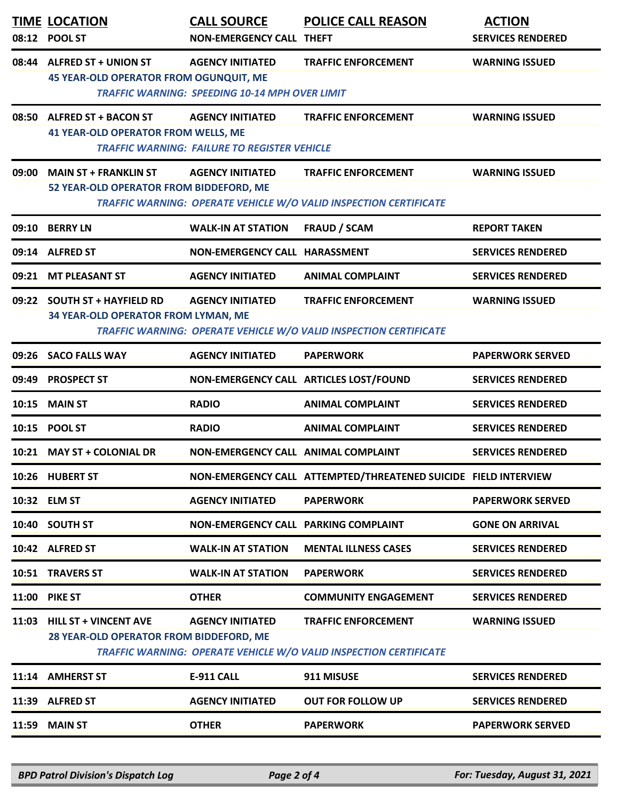|       | <b>TIME LOCATION</b><br>08:12 POOL ST                                       | <b>CALL SOURCE</b><br><b>NON-EMERGENCY CALL THEFT</b>                            | <b>POLICE CALL REASON</b>                                                                              | <b>ACTION</b><br><b>SERVICES RENDERED</b> |
|-------|-----------------------------------------------------------------------------|----------------------------------------------------------------------------------|--------------------------------------------------------------------------------------------------------|-------------------------------------------|
|       | 08:44 ALFRED ST + UNION ST<br><b>45 YEAR-OLD OPERATOR FROM OGUNQUIT, ME</b> | <b>AGENCY INITIATED</b><br><b>TRAFFIC WARNING: SPEEDING 10-14 MPH OVER LIMIT</b> | <b>TRAFFIC ENFORCEMENT</b>                                                                             | <b>WARNING ISSUED</b>                     |
|       | 08:50 ALFRED ST + BACON ST<br><b>41 YEAR-OLD OPERATOR FROM WELLS, ME</b>    | <b>AGENCY INITIATED</b><br><b>TRAFFIC WARNING: FAILURE TO REGISTER VEHICLE</b>   | <b>TRAFFIC ENFORCEMENT</b>                                                                             | <b>WARNING ISSUED</b>                     |
| 09:00 | <b>MAIN ST + FRANKLIN ST</b><br>52 YEAR-OLD OPERATOR FROM BIDDEFORD, ME     | <b>AGENCY INITIATED</b>                                                          | <b>TRAFFIC ENFORCEMENT</b><br><b>TRAFFIC WARNING: OPERATE VEHICLE W/O VALID INSPECTION CERTIFICATE</b> | <b>WARNING ISSUED</b>                     |
|       | 09:10 BERRY LN                                                              | <b>WALK-IN AT STATION</b>                                                        | <b>FRAUD / SCAM</b>                                                                                    | <b>REPORT TAKEN</b>                       |
|       | 09:14 ALFRED ST                                                             | NON-EMERGENCY CALL HARASSMENT                                                    |                                                                                                        | <b>SERVICES RENDERED</b>                  |
|       | 09:21 MT PLEASANT ST                                                        | <b>AGENCY INITIATED</b>                                                          | <b>ANIMAL COMPLAINT</b>                                                                                | <b>SERVICES RENDERED</b>                  |
|       | 09:22 SOUTH ST + HAYFIELD RD<br>34 YEAR-OLD OPERATOR FROM LYMAN, ME         | <b>AGENCY INITIATED</b>                                                          | <b>TRAFFIC ENFORCEMENT</b><br>TRAFFIC WARNING: OPERATE VEHICLE W/O VALID INSPECTION CERTIFICATE        | <b>WARNING ISSUED</b>                     |
|       | 09:26 SACO FALLS WAY                                                        | <b>AGENCY INITIATED</b>                                                          | <b>PAPERWORK</b>                                                                                       | <b>PAPERWORK SERVED</b>                   |
|       | 09:49 PROSPECT ST                                                           |                                                                                  | NON-EMERGENCY CALL ARTICLES LOST/FOUND                                                                 | <b>SERVICES RENDERED</b>                  |
| 10:15 | <b>MAIN ST</b>                                                              | <b>RADIO</b>                                                                     | <b>ANIMAL COMPLAINT</b>                                                                                | <b>SERVICES RENDERED</b>                  |
|       | 10:15 POOL ST                                                               | <b>RADIO</b>                                                                     | <b>ANIMAL COMPLAINT</b>                                                                                | <b>SERVICES RENDERED</b>                  |
|       | 10:21 MAY ST + COLONIAL DR                                                  | NON-EMERGENCY CALL ANIMAL COMPLAINT                                              |                                                                                                        | <b>SERVICES RENDERED</b>                  |
|       | 10:26 HUBERT ST                                                             |                                                                                  | NON-EMERGENCY CALL ATTEMPTED/THREATENED SUICIDE FIELD INTERVIEW                                        |                                           |
|       | 10:32 ELM ST                                                                | <b>AGENCY INITIATED</b>                                                          | <b>PAPERWORK</b>                                                                                       | <b>PAPERWORK SERVED</b>                   |
|       | 10:40 SOUTH ST                                                              | NON-EMERGENCY CALL PARKING COMPLAINT                                             |                                                                                                        | <b>GONE ON ARRIVAL</b>                    |
|       | 10:42 ALFRED ST                                                             | <b>WALK-IN AT STATION</b>                                                        | <b>MENTAL ILLNESS CASES</b>                                                                            | <b>SERVICES RENDERED</b>                  |
|       | 10:51 TRAVERS ST                                                            | <b>WALK-IN AT STATION</b>                                                        | <b>PAPERWORK</b>                                                                                       | <b>SERVICES RENDERED</b>                  |
|       | 11:00 PIKE ST                                                               | <b>OTHER</b>                                                                     | <b>COMMUNITY ENGAGEMENT</b>                                                                            | <b>SERVICES RENDERED</b>                  |
|       | 11:03 HILL ST + VINCENT AVE<br>28 YEAR-OLD OPERATOR FROM BIDDEFORD, ME      | <b>AGENCY INITIATED</b>                                                          | <b>TRAFFIC ENFORCEMENT</b><br><b>TRAFFIC WARNING: OPERATE VEHICLE W/O VALID INSPECTION CERTIFICATE</b> | <b>WARNING ISSUED</b>                     |
|       | 11:14 AMHERST ST                                                            | E-911 CALL                                                                       | 911 MISUSE                                                                                             | <b>SERVICES RENDERED</b>                  |
|       | 11:39 ALFRED ST                                                             | <b>AGENCY INITIATED</b>                                                          | <b>OUT FOR FOLLOW UP</b>                                                                               | <b>SERVICES RENDERED</b>                  |
|       | 11:59 MAIN ST                                                               | <b>OTHER</b>                                                                     | <b>PAPERWORK</b>                                                                                       | <b>PAPERWORK SERVED</b>                   |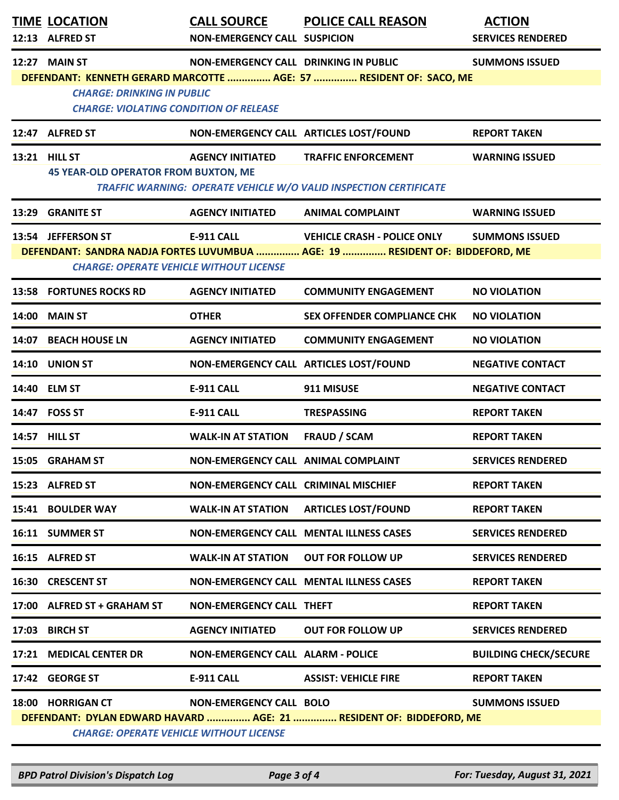| <b>TIME LOCATION</b>                                                                                | <b>CALL SOURCE</b>                           | <b>POLICE CALL REASON</b>                                                                                          | <b>ACTION</b>                |
|-----------------------------------------------------------------------------------------------------|----------------------------------------------|--------------------------------------------------------------------------------------------------------------------|------------------------------|
| 12:13 ALFRED ST                                                                                     | <b>NON-EMERGENCY CALL SUSPICION</b>          |                                                                                                                    | <b>SERVICES RENDERED</b>     |
| 12:27 MAIN ST<br><b>CHARGE: DRINKING IN PUBLIC</b><br><b>CHARGE: VIOLATING CONDITION OF RELEASE</b> | <b>NON-EMERGENCY CALL DRINKING IN PUBLIC</b> | DEFENDANT: KENNETH GERARD MARCOTTE  AGE: 57  RESIDENT OF: SACO, ME                                                 | <b>SUMMONS ISSUED</b>        |
| 12:47 ALFRED ST                                                                                     | NON-EMERGENCY CALL ARTICLES LOST/FOUND       |                                                                                                                    | <b>REPORT TAKEN</b>          |
| 13:21 HILL ST<br><b>45 YEAR-OLD OPERATOR FROM BUXTON, ME</b>                                        | <b>AGENCY INITIATED</b>                      | <b>TRAFFIC ENFORCEMENT</b><br>TRAFFIC WARNING: OPERATE VEHICLE W/O VALID INSPECTION CERTIFICATE                    | <b>WARNING ISSUED</b>        |
| 13:29 GRANITE ST                                                                                    | <b>AGENCY INITIATED</b>                      | <b>ANIMAL COMPLAINT</b>                                                                                            | <b>WARNING ISSUED</b>        |
| 13:54 JEFFERSON ST<br><b>CHARGE: OPERATE VEHICLE WITHOUT LICENSE</b>                                | <b>E-911 CALL</b>                            | <b>VEHICLE CRASH - POLICE ONLY</b><br>DEFENDANT: SANDRA NADJA FORTES LUVUMBUA  AGE: 19  RESIDENT OF: BIDDEFORD, ME | <b>SUMMONS ISSUED</b>        |
| 13:58 FORTUNES ROCKS RD                                                                             | <b>AGENCY INITIATED</b>                      | <b>COMMUNITY ENGAGEMENT</b>                                                                                        | <b>NO VIOLATION</b>          |
| <b>14:00 MAIN ST</b>                                                                                | <b>OTHER</b>                                 | <b>SEX OFFENDER COMPLIANCE CHK</b>                                                                                 | <b>NO VIOLATION</b>          |
| 14:07 BEACH HOUSE LN                                                                                | <b>AGENCY INITIATED</b>                      | <b>COMMUNITY ENGAGEMENT</b>                                                                                        | <b>NO VIOLATION</b>          |
| <b>14:10 UNION ST</b>                                                                               | NON-EMERGENCY CALL ARTICLES LOST/FOUND       |                                                                                                                    | <b>NEGATIVE CONTACT</b>      |
| 14:40 ELM ST                                                                                        | E-911 CALL                                   | 911 MISUSE                                                                                                         | <b>NEGATIVE CONTACT</b>      |
| 14:47 FOSS ST                                                                                       | <b>E-911 CALL</b>                            | <b>TRESPASSING</b>                                                                                                 | <b>REPORT TAKEN</b>          |
| 14:57 HILL ST                                                                                       | <b>WALK-IN AT STATION</b>                    | <b>FRAUD / SCAM</b>                                                                                                | <b>REPORT TAKEN</b>          |
| 15:05 GRAHAM ST                                                                                     | NON-EMERGENCY CALL ANIMAL COMPLAINT          |                                                                                                                    | <b>SERVICES RENDERED</b>     |
| 15:23 ALFRED ST                                                                                     | NON-EMERGENCY CALL CRIMINAL MISCHIEF         |                                                                                                                    | <b>REPORT TAKEN</b>          |
| 15:41 BOULDER WAY                                                                                   | <b>WALK-IN AT STATION</b>                    | <b>ARTICLES LOST/FOUND</b>                                                                                         | <b>REPORT TAKEN</b>          |
| 16:11 SUMMER ST                                                                                     |                                              | <b>NON-EMERGENCY CALL MENTAL ILLNESS CASES</b>                                                                     | <b>SERVICES RENDERED</b>     |
| 16:15 ALFRED ST                                                                                     | <b>WALK-IN AT STATION</b>                    | <b>OUT FOR FOLLOW UP</b>                                                                                           | <b>SERVICES RENDERED</b>     |
| 16:30 CRESCENT ST                                                                                   |                                              | <b>NON-EMERGENCY CALL MENTAL ILLNESS CASES</b>                                                                     | <b>REPORT TAKEN</b>          |
| 17:00 ALFRED ST + GRAHAM ST                                                                         | <b>NON-EMERGENCY CALL THEFT</b>              |                                                                                                                    | <b>REPORT TAKEN</b>          |
| 17:03 BIRCH ST                                                                                      | <b>AGENCY INITIATED</b>                      | <b>OUT FOR FOLLOW UP</b>                                                                                           | <b>SERVICES RENDERED</b>     |
| 17:21 MEDICAL CENTER DR                                                                             | <b>NON-EMERGENCY CALL ALARM - POLICE</b>     |                                                                                                                    | <b>BUILDING CHECK/SECURE</b> |
| 17:42 GEORGE ST                                                                                     | E-911 CALL                                   | <b>ASSIST: VEHICLE FIRE</b>                                                                                        | <b>REPORT TAKEN</b>          |
| 18:00 HORRIGAN CT<br><b>CHARGE: OPERATE VEHICLE WITHOUT LICENSE</b>                                 | <b>NON-EMERGENCY CALL BOLO</b>               | DEFENDANT: DYLAN EDWARD HAVARD  AGE: 21  RESIDENT OF: BIDDEFORD, ME                                                | <b>SUMMONS ISSUED</b>        |

*BPD Patrol Division's Dispatch Log Page 3 of 4 For: Tuesday, August 31, 2021*